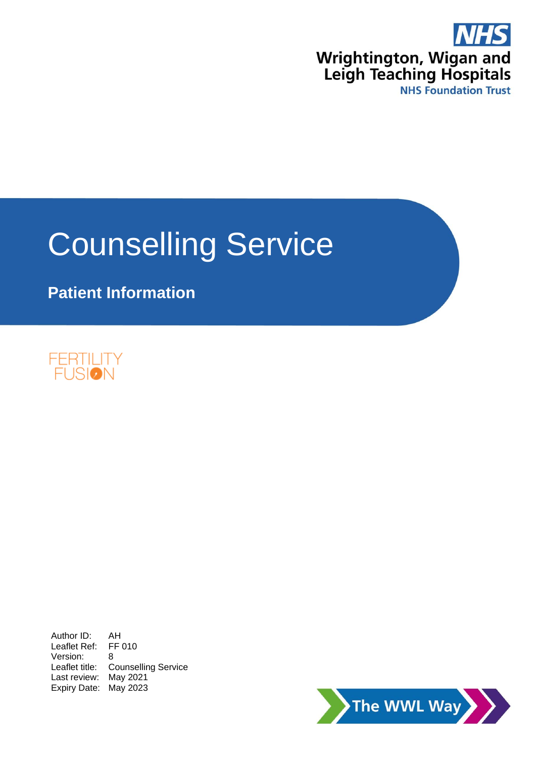

# Counselling Service

**Patient Information**



Author ID: AH Leaflet Ref: FF 010 Version: 8 Leaflet title: Counselling Service Last review: May 2021 Expiry Date: May 2023

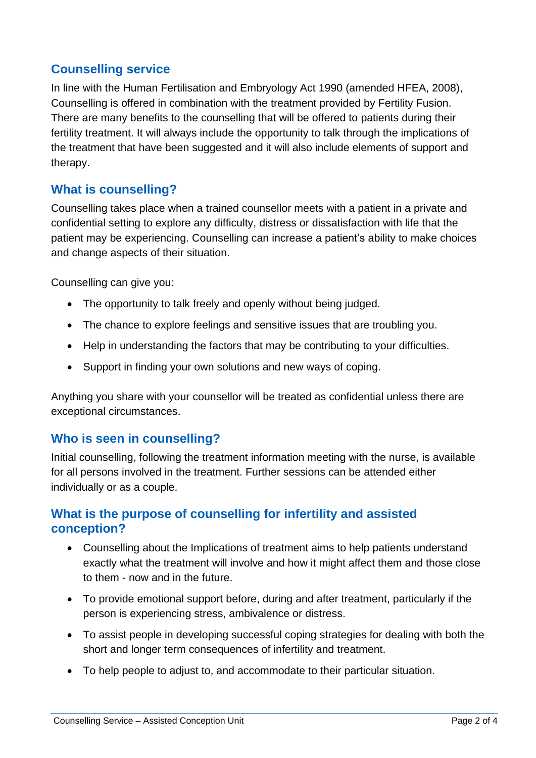### **Counselling service**

In line with the Human Fertilisation and Embryology Act 1990 (amended HFEA, 2008), Counselling is offered in combination with the treatment provided by Fertility Fusion. There are many benefits to the counselling that will be offered to patients during their fertility treatment. It will always include the opportunity to talk through the implications of the treatment that have been suggested and it will also include elements of support and therapy.

### **What is counselling?**

Counselling takes place when a trained counsellor meets with a patient in a private and confidential setting to explore any difficulty, distress or dissatisfaction with life that the patient may be experiencing. Counselling can increase a patient's ability to make choices and change aspects of their situation.

Counselling can give you:

- The opportunity to talk freely and openly without being judged.
- The chance to explore feelings and sensitive issues that are troubling you.
- Help in understanding the factors that may be contributing to your difficulties.
- Support in finding your own solutions and new ways of coping.

Anything you share with your counsellor will be treated as confidential unless there are exceptional circumstances.

### **Who is seen in counselling?**

Initial counselling, following the treatment information meeting with the nurse, is available for all persons involved in the treatment. Further sessions can be attended either individually or as a couple.

### **What is the purpose of counselling for infertility and assisted conception?**

- Counselling about the Implications of treatment aims to help patients understand exactly what the treatment will involve and how it might affect them and those close to them - now and in the future.
- To provide emotional support before, during and after treatment, particularly if the person is experiencing stress, ambivalence or distress.
- To assist people in developing successful coping strategies for dealing with both the short and longer term consequences of infertility and treatment.
- To help people to adjust to, and accommodate to their particular situation.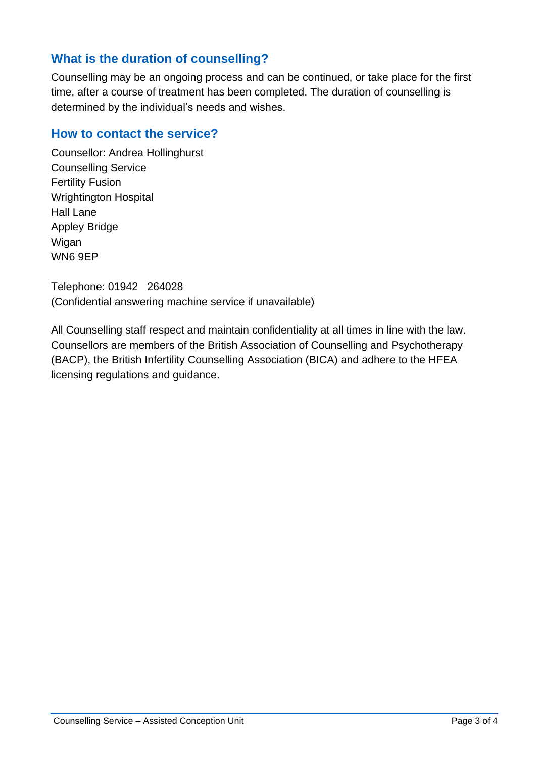### **What is the duration of counselling?**

Counselling may be an ongoing process and can be continued, or take place for the first time, after a course of treatment has been completed. The duration of counselling is determined by the individual's needs and wishes.

#### **How to contact the service?**

Counsellor: Andrea Hollinghurst Counselling Service Fertility Fusion Wrightington Hospital Hall Lane Appley Bridge Wigan WN6 9EP

Telephone: 01942 264028 (Confidential answering machine service if unavailable)

All Counselling staff respect and maintain confidentiality at all times in line with the law. Counsellors are members of the British Association of Counselling and Psychotherapy (BACP), the British Infertility Counselling Association (BICA) and adhere to the HFEA licensing regulations and guidance.